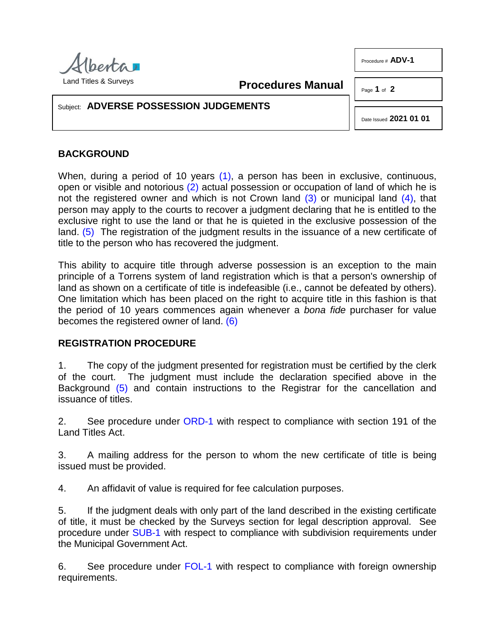

Procedure # **ADV-1**

<span id="page-0-1"></span><span id="page-0-0"></span>**Procedures Manual**

Page **1** of **2**

## Subject: **ADVERSE POSSESSION JUDGEMENTS**

<span id="page-0-3"></span><span id="page-0-2"></span>Date Issued **2021 01 01**

## **BACKGROUND**

When, during a period of 10 years [\(1\),](#page-1-0) a person has been in exclusive, continuous, open or visible and notorious [\(2\)](#page-1-1) actual possession or occupation of land of which he is not the registered owner and which is not Crown land  $(3)$  or municipal land  $(4)$ , that person may apply to the courts to recover a judgment declaring that he is entitled to the exclusive right to use the land or that he is quieted in the exclusive possession of the land. [\(5\)](#page-1-4) The registration of the judgment results in the issuance of a new certificate of title to the person who has recovered the judgment.

<span id="page-0-4"></span>This ability to acquire title through adverse possession is an exception to the main principle of a Torrens system of land registration which is that a person's ownership of land as shown on a certificate of title is indefeasible (i.e., cannot be defeated by others). One limitation which has been placed on the right to acquire title in this fashion is that the period of 10 years commences again whenever a *bona fide* purchaser for value becomes the registered owner of land. [\(6\)](#page-1-5)

## <span id="page-0-5"></span>**REGISTRATION PROCEDURE**

1. The copy of the judgment presented for registration must be certified by the clerk of the court. The judgment must include the declaration specified above in the Background [\(5\)](#page-1-4) and contain instructions to the Registrar for the cancellation and issuance of titles.

2. See procedure under [ORD-1](http://www.servicealberta.ca/pdf/ltmanual/ORD-1.pdf) with respect to compliance with section 191 of the Land Titles Act.

3. A mailing address for the person to whom the new certificate of title is being issued must be provided.

4. An affidavit of value is required for fee calculation purposes.

5. If the judgment deals with only part of the land described in the existing certificate of title, it must be checked by the Surveys section for legal description approval. See procedure under [SUB-1](http://www.servicealberta.ca/pdf/ltmanual/SUB-1.pdf) with respect to compliance with subdivision requirements under the Municipal Government Act.

6. See procedure under [FOL-1](http://www.servicealberta.ca/pdf/ltmanual/FOL-1.pdf) with respect to compliance with foreign ownership requirements.